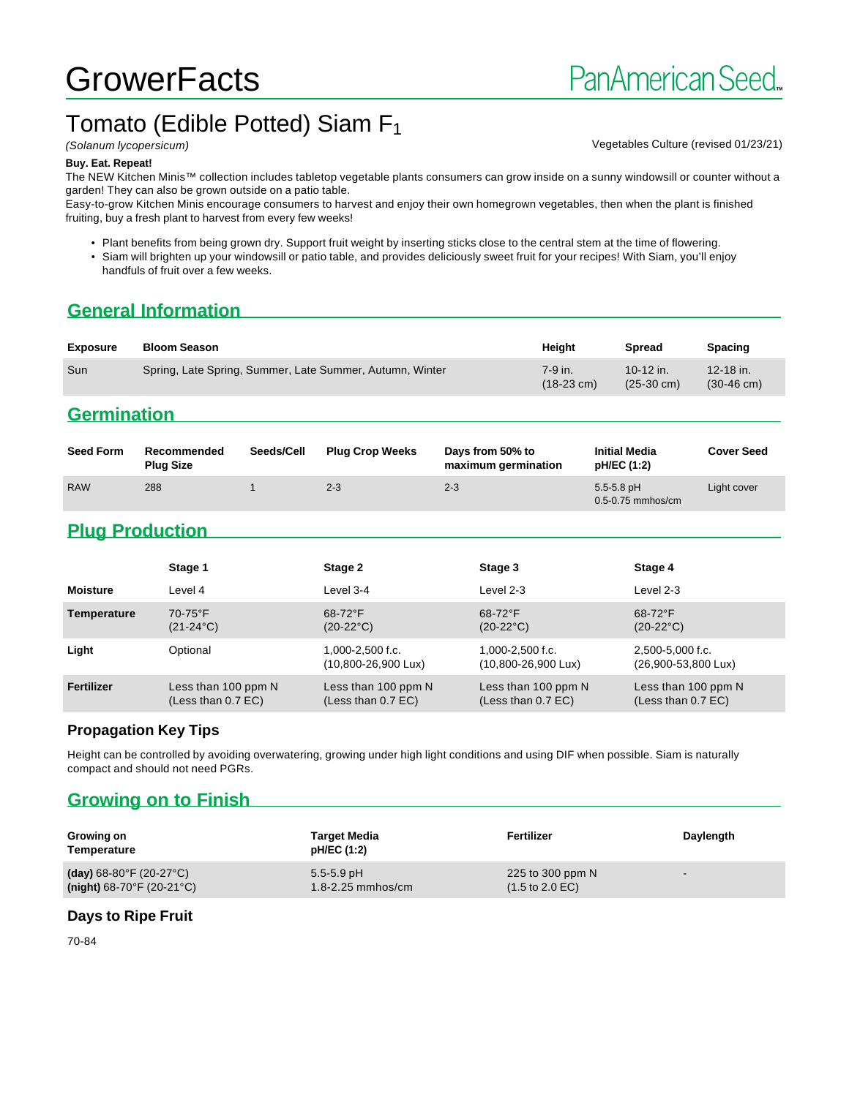# **GrowerFacts**

# Tomato (Edible Potted) Siam F<sub>1</sub>

(Solanum lycopersicum) Vegetables Culture (revised 01/23/21)

#### **Buy. Eat. Repeat!**

The NEW Kitchen Minis™ collection includes tabletop vegetable plants consumers can grow inside on a sunny windowsill or counter without a garden! They can also be grown outside on a patio table.

Easy-to-grow Kitchen Minis encourage consumers to harvest and enjoy their own homegrown vegetables, then when the plant is finished fruiting, buy a fresh plant to harvest from every few weeks!

• Plant benefits from being grown dry. Support fruit weight by inserting sticks close to the central stem at the time of flowering.

• Siam will brighten up your windowsill or patio table, and provides deliciously sweet fruit for your recipes! With Siam, you'll enjoy handfuls of fruit over a few weeks.

# **General Information**

| <b>Exposure</b> | <b>Bloom Season</b>                                      | Heiaht                          | <b>Spread</b>                     | <b>Spacing</b>                        |
|-----------------|----------------------------------------------------------|---------------------------------|-----------------------------------|---------------------------------------|
| Sun             | Spring, Late Spring, Summer, Late Summer, Autumn, Winter | 7-9 in.<br>$(18-23 \text{ cm})$ | 10-12 in.<br>$(25-30 \text{ cm})$ | $12 - 18$ in.<br>$(30-46 \text{ cm})$ |

### **Germination**

| <b>Seed Form</b> | Recommended<br><b>Plug Size</b> | Seeds/Cell | <b>Plug Crop Weeks</b> | Davs from 50% to<br>maximum germination | <b>Initial Media</b><br>pH/EC (1:2)     | <b>Cover Seed</b> |
|------------------|---------------------------------|------------|------------------------|-----------------------------------------|-----------------------------------------|-------------------|
| <b>RAW</b>       | 288                             |            | $2 - 3$                | $2 - 3$                                 | $5.5 - 5.8$ pH<br>$0.5 - 0.75$ mmhos/cm | Light cover       |

# **Plug Production**

|                    | Stage 1                                     | Stage 2                                                 | Stage 3                                     | Stage 4                                     |
|--------------------|---------------------------------------------|---------------------------------------------------------|---------------------------------------------|---------------------------------------------|
| <b>Moisture</b>    | Level 4                                     | Level 3-4                                               | Level 2-3                                   | Level 2-3                                   |
| <b>Temperature</b> | $70-75$ °F<br>$(21-24^{\circ}C)$            | $68-72$ °F<br>$(20-22^{\circ}C)$                        | $68-72$ °F<br>$(20-22^{\circ}C)$            | $68-72$ °F<br>$(20-22^{\circ}C)$            |
| Light              | Optional                                    | $1.000 - 2.500$ f.c.<br>$(10,800 - 26,900 \text{ Lux})$ | $1.000 - 2.500$ f.c.<br>(10,800-26,900 Lux) | 2,500-5,000 f.c.<br>(26,900-53,800 Lux)     |
| Fertilizer         | Less than 100 ppm N<br>(Less than $0.7$ EC) | Less than 100 ppm N<br>(Less than $0.7$ EC)             | Less than 100 ppm N<br>(Less than $0.7$ EC) | Less than 100 ppm N<br>(Less than $0.7$ EC) |

#### **Propagation Key Tips**

Height can be controlled by avoiding overwatering, growing under high light conditions and using DIF when possible. Siam is naturally compact and should not need PGRs.

# **Growing on to Finish**

| Growing on<br>Temperature                      | Target Media<br>pH/EC (1:2) | Fertilizer                         | Daylength                |
|------------------------------------------------|-----------------------------|------------------------------------|--------------------------|
| (day) $68-80^{\circ}$ F (20-27 $^{\circ}$ C)   | $5.5 - 5.9$ pH              | 225 to 300 ppm N                   | $\overline{\phantom{a}}$ |
| (night) $68-70^{\circ}$ F (20-21 $^{\circ}$ C) | $1.8 - 2.25$ mmhos/cm       | $(1.5 \text{ to } 2.0 \text{ EC})$ |                          |

#### **Days to Ripe Fruit**

70-84